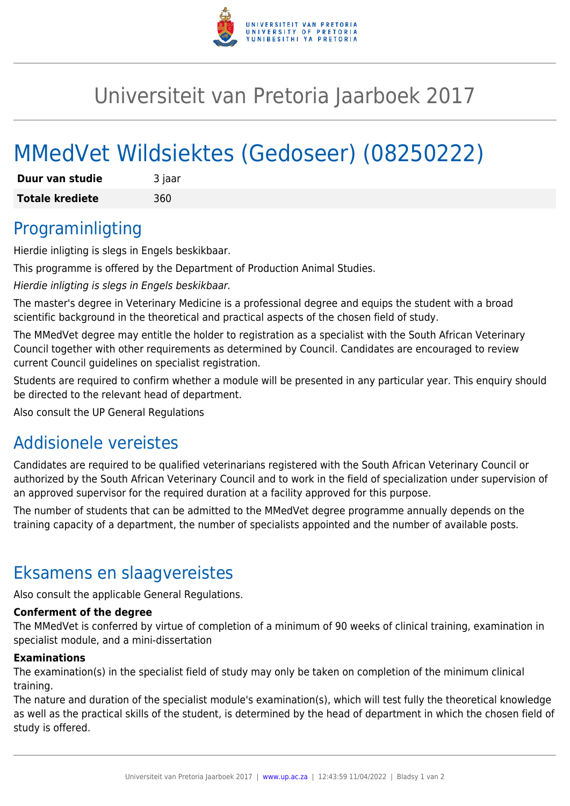

## Universiteit van Pretoria Jaarboek 2017

# MMedVet Wildsiektes (Gedoseer) (08250222)

| Duur van studie        | 3 jaar |
|------------------------|--------|
| <b>Totale krediete</b> | 360    |

### Programinligting

Hierdie inligting is slegs in Engels beskikbaar.

This programme is offered by the Department of Production Animal Studies.

Hierdie inligting is slegs in Engels beskikbaar.

The master's degree in Veterinary Medicine is a professional degree and equips the student with a broad scientific background in the theoretical and practical aspects of the chosen field of study.

The MMedVet degree may entitle the holder to registration as a specialist with the South African Veterinary Council together with other requirements as determined by Council. Candidates are encouraged to review current Council guidelines on specialist registration.

Students are required to confirm whether a module will be presented in any particular year. This enquiry should be directed to the relevant head of department.

Also consult the UP General Regulations

### Addisionele vereistes

Candidates are required to be qualified veterinarians registered with the South African Veterinary Council or authorized by the South African Veterinary Council and to work in the field of specialization under supervision of an approved supervisor for the required duration at a facility approved for this purpose.

The number of students that can be admitted to the MMedVet degree programme annually depends on the training capacity of a department, the number of specialists appointed and the number of available posts.

### Eksamens en slaagvereistes

Also consult the applicable General Regulations.

#### **Conferment of the degree**

The MMedVet is conferred by virtue of completion of a minimum of 90 weeks of clinical training, examination in specialist module, and a mini-dissertation

#### **Examinations**

The examination(s) in the specialist field of study may only be taken on completion of the minimum clinical training.

The nature and duration of the specialist module's examination(s), which will test fully the theoretical knowledge as well as the practical skills of the student, is determined by the head of department in which the chosen field of study is offered.